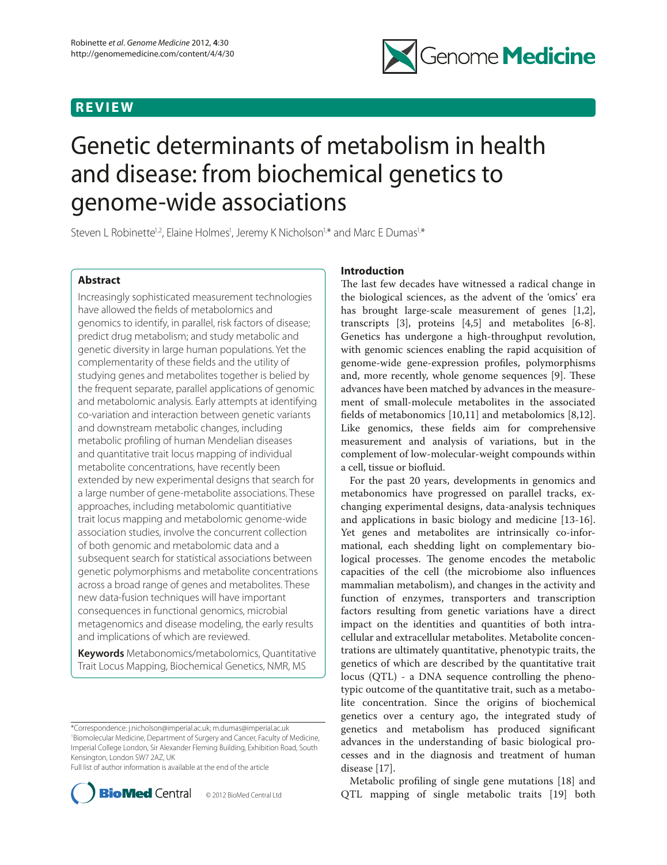## **REVIEW**



# Genetic determinants of metabolism in health and disease: from biochemical genetics to genome-wide associations

Steven L Robinette<sup>1,2</sup>, Elaine Holmes<sup>1</sup>, Jeremy K Nicholson<sup>1,\*</sup> and Marc E Dumas<sup>1,\*</sup>

## **Abstract**

Increasingly sophisticated measurement technologies have allowed the fields of metabolomics and genomics to identify, in parallel, risk factors of disease; predict drug metabolism; and study metabolic and genetic diversity in large human populations. Yet the complementarity of these fields and the utility of studying genes and metabolites together is belied by the frequent separate, parallel applications of genomic and metabolomic analysis. Early attempts at identifying co-variation and interaction between genetic variants and downstream metabolic changes, including metabolic profiling of human Mendelian diseases and quantitative trait locus mapping of individual metabolite concentrations, have recently been extended by new experimental designs that search for a large number of gene-metabolite associations. These approaches, including metabolomic quantitiative trait locus mapping and metabolomic genome-wide association studies, involve the concurrent collection of both genomic and metabolomic data and a subsequent search for statistical associations between genetic polymorphisms and metabolite concentrations across a broad range of genes and metabolites. These new data-fusion techniques will have important consequences in functional genomics, microbial metagenomics and disease modeling, the early results and implications of which are reviewed.

**Keywords** Metabonomics/metabolomics, Quantitative Trait Locus Mapping, Biochemical Genetics, NMR, MS

Full list of author information is available at the end of the article



## **Introduction**

The last few decades have witnessed a radical change in the biological sciences, as the advent of the 'omics' era has brought large-scale measurement of genes [1,2], transcripts [3], proteins [4,5] and metabolites [6-8]. Genetics has undergone a high-throughput revolution, with genomic sciences enabling the rapid acquisition of genome-wide gene-expression profiles, polymorphisms and, more recently, whole genome sequences [9]. These advances have been matched by advances in the measurement of small-molecule metabolites in the associated fields of metabonomics [10,11] and metabolomics [8,12]. Like genomics, these fields aim for comprehensive measurement and analysis of variations, but in the complement of low-molecular-weight compounds within a cell, tissue or biofluid.

For the past 20 years, developments in genomics and metabonomics have progressed on parallel tracks, exchanging experimental designs, data-analysis techniques and applications in basic biology and medicine [13-16]. Yet genes and metabolites are intrinsically co-informational, each shedding light on complementary biological processes. The genome encodes the metabolic capacities of the cell (the microbiome also influences mammalian metabolism), and changes in the activity and function of enzymes, transporters and transcription factors resulting from genetic variations have a direct impact on the identities and quantities of both intracellular and extracellular metabolites. Metabolite concentrations are ultimately quantitative, phenotypic traits, the genetics of which are described by the quantitative trait locus (QTL) - a DNA sequence controlling the phenotypic outcome of the quantitative trait, such as a metabolite concentration. Since the origins of biochemical genetics over a century ago, the integrated study of genetics and metabolism has produced significant advances in the understanding of basic biological processes and in the diagnosis and treatment of human disease [17].

Metabolic profiling of single gene mutations [18] and QTL mapping of single metabolic traits [19] both

<sup>\*</sup>Correspondence: j.nicholson@imperial.ac.uk; m.dumas@imperial.ac.uk 1 Biomolecular Medicine, Department of Surgery and Cancer, Faculty of Medicine, Imperial College London, Sir Alexander Fleming Building, Exhibition Road, South Kensington, London SW7 2AZ, UK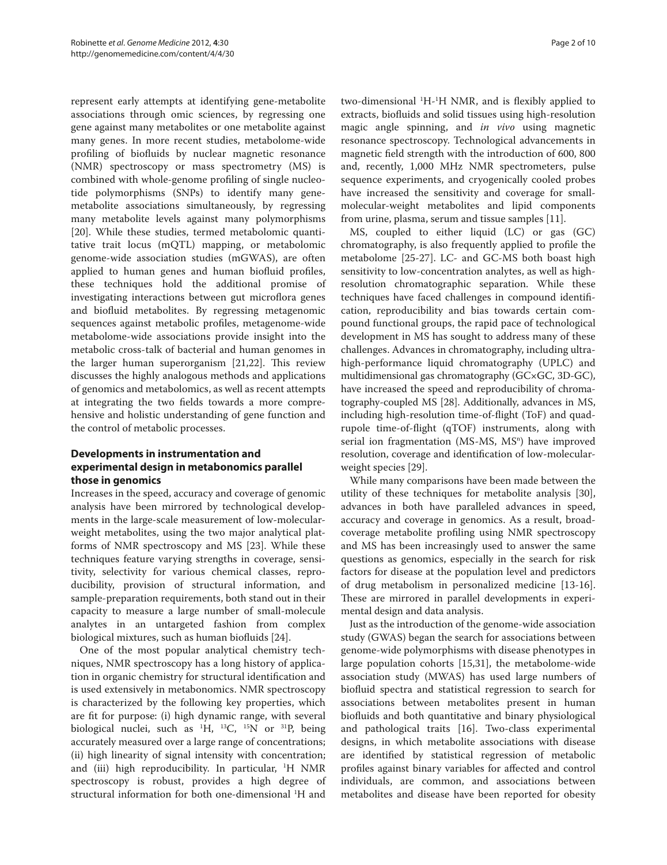represent early attempts at identifying gene-metabolite associations through omic sciences, by regressing one gene against many metabolites or one metabolite against many genes. In more recent studies, metabolome-wide profiling of biofluids by nuclear magnetic resonance (NMR) spectroscopy or mass spectrometry (MS) is combined with whole-genome profiling of single nucleotide polymorphisms (SNPs) to identify many genemetabolite associations simultaneously, by regressing many metabolite levels against many polymorphisms [20]. While these studies, termed metabolomic quantitative trait locus (mQTL) mapping, or metabolomic genome-wide association studies (mGWAS), are often applied to human genes and human biofluid profiles, these techniques hold the additional promise of investigating interactions between gut microflora genes and biofluid metabolites. By regressing metagenomic sequences against metabolic profiles, metagenome-wide metabolome-wide associations provide insight into the metabolic cross-talk of bacterial and human genomes in the larger human superorganism [21,22]. This review discusses the highly analogous methods and applications of genomics and metabolomics, as well as recent attempts at integrating the two fields towards a more comprehensive and holistic understanding of gene function and the control of metabolic processes.

## **Developments in instrumentation and experimental design in metabonomics parallel those in genomics**

Increases in the speed, accuracy and coverage of genomic analysis have been mirrored by technological developments in the large-scale measurement of low-molecularweight metabolites, using the two major analytical platforms of NMR spectroscopy and MS [23]. While these techniques feature varying strengths in coverage, sensitivity, selectivity for various chemical classes, reproducibility, provision of structural information, and sample-preparation requirements, both stand out in their capacity to measure a large number of small-molecule analytes in an untargeted fashion from complex biological mixtures, such as human biofluids [24].

One of the most popular analytical chemistry techniques, NMR spectroscopy has a long history of application in organic chemistry for structural identification and is used extensively in metabonomics. NMR spectroscopy is characterized by the following key properties, which are fit for purpose: (i) high dynamic range, with several biological nuclei, such as 1 H, 13C, 15N or 31P, being accurately measured over a large range of concentrations; (ii) high linearity of signal intensity with concentration; and (iii) high reproducibility. In particular, 1 H NMR spectroscopy is robust, provides a high degree of structural information for both one-dimensional 1 H and

two-dimensional <sup>1</sup>H<sup>-1</sup>H NMR, and is flexibly applied to extracts, biofluids and solid tissues using high-resolution magic angle spinning, and *in vivo* using magnetic resonance spectroscopy. Technological advancements in magnetic field strength with the introduction of 600, 800 and, recently, 1,000 MHz NMR spectrometers, pulse sequence experiments, and cryogenically cooled probes have increased the sensitivity and coverage for smallmolecular-weight metabolites and lipid components from urine, plasma, serum and tissue samples [11].

MS, coupled to either liquid (LC) or gas (GC) chromatography, is also frequently applied to profile the metabolome [25-27]. LC- and GC-MS both boast high sensitivity to low-concentration analytes, as well as highresolution chromatographic separation. While these techniques have faced challenges in compound identification, reproducibility and bias towards certain compound functional groups, the rapid pace of technological development in MS has sought to address many of these challenges. Advances in chromatography, including ultrahigh-performance liquid chromatography (UPLC) and multidimensional gas chromatography (GC×GC, 3D-GC), have increased the speed and reproducibility of chromatography-coupled MS [28]. Additionally, advances in MS, including high-resolution time-of-flight (ToF) and quadrupole time-of-flight (qTOF) instruments, along with serial ion fragmentation (MS-MS, MS<sup>n</sup>) have improved resolution, coverage and identification of low-molecularweight species [29].

While many comparisons have been made between the utility of these techniques for metabolite analysis [30], advances in both have paralleled advances in speed, accuracy and coverage in genomics. As a result, broadcoverage metabolite profiling using NMR spectroscopy and MS has been increasingly used to answer the same questions as genomics, especially in the search for risk factors for disease at the population level and predictors of drug metabolism in personalized medicine [13-16]. These are mirrored in parallel developments in experimental design and data analysis.

Just as the introduction of the genome-wide association study (GWAS) began the search for associations between genome-wide polymorphisms with disease phenotypes in large population cohorts [15,31], the metabolome-wide association study (MWAS) has used large numbers of biofluid spectra and statistical regression to search for associations between metabolites present in human biofluids and both quantitative and binary physiological and pathological traits [16]. Two-class experimental designs, in which metabolite associations with disease are identified by statistical regression of metabolic profiles against binary variables for affected and control individuals, are common, and associations between metabolites and disease have been reported for obesity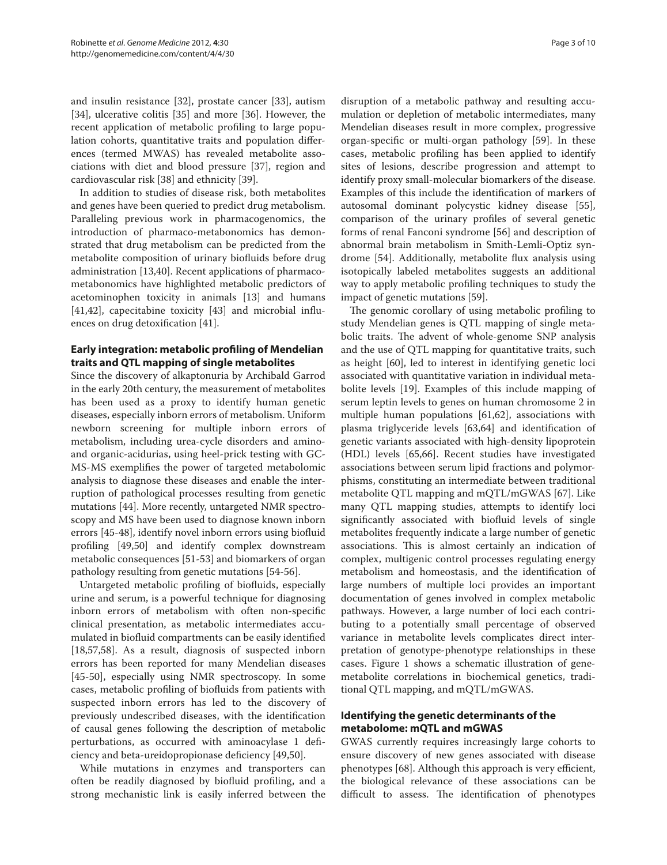and insulin resistance [32], prostate cancer [33], autism [34], ulcerative colitis [35] and more [36]. However, the recent application of metabolic profiling to large population cohorts, quantitative traits and population differences (termed MWAS) has revealed metabolite associations with diet and blood pressure [37], region and cardiovascular risk [38] and ethnicity [39].

In addition to studies of disease risk, both metabolites and genes have been queried to predict drug metabolism. Paralleling previous work in pharmacogenomics, the introduction of pharmaco-metabonomics has demonstrated that drug metabolism can be predicted from the metabolite composition of urinary biofluids before drug administration [13,40]. Recent applications of pharmacometabonomics have highlighted metabolic predictors of acetominophen toxicity in animals [13] and humans [41,42], capecitabine toxicity [43] and microbial influences on drug detoxification [41].

## **Early integration: metabolic profiling of Mendelian traits and QTL mapping of single metabolites**

Since the discovery of alkaptonuria by Archibald Garrod in the early 20th century, the measurement of metabolites has been used as a proxy to identify human genetic diseases, especially inborn errors of metabolism. Uniform newborn screening for multiple inborn errors of metabolism, including urea-cycle disorders and aminoand organic-acidurias, using heel-prick testing with GC-MS-MS exemplifies the power of targeted metabolomic analysis to diagnose these diseases and enable the interruption of pathological processes resulting from genetic mutations [44]. More recently, untargeted NMR spectroscopy and MS have been used to diagnose known inborn errors [45-48], identify novel inborn errors using biofluid profiling [49,50] and identify complex downstream metabolic consequences [51-53] and biomarkers of organ pathology resulting from genetic mutations [54-56].

Untargeted metabolic profiling of biofluids, especially urine and serum, is a powerful technique for diagnosing inborn errors of metabolism with often non-specific clinical presentation, as metabolic intermediates accumulated in biofluid compartments can be easily identified [18,57,58]. As a result, diagnosis of suspected inborn errors has been reported for many Mendelian diseases [45-50], especially using NMR spectroscopy. In some cases, metabolic profiling of biofluids from patients with suspected inborn errors has led to the discovery of previously undescribed diseases, with the identification of causal genes following the description of metabolic perturbations, as occurred with aminoacylase 1 deficiency and beta-ureidopropionase deficiency [49,50].

While mutations in enzymes and transporters can often be readily diagnosed by biofluid profiling, and a strong mechanistic link is easily inferred between the disruption of a metabolic pathway and resulting accumulation or depletion of metabolic intermediates, many Mendelian diseases result in more complex, progressive organ-specific or multi-organ pathology [59]. In these cases, metabolic profiling has been applied to identify sites of lesions, describe progression and attempt to identify proxy small-molecular biomarkers of the disease. Examples of this include the identification of markers of autosomal dominant polycystic kidney disease [55], comparison of the urinary profiles of several genetic forms of renal Fanconi syndrome [56] and description of abnormal brain metabolism in Smith-Lemli-Optiz syndrome [54]. Additionally, metabolite flux analysis using isotopically labeled metabolites suggests an additional way to apply metabolic profiling techniques to study the impact of genetic mutations [59].

The genomic corollary of using metabolic profiling to study Mendelian genes is QTL mapping of single metabolic traits. The advent of whole-genome SNP analysis and the use of QTL mapping for quantitative traits, such as height [60], led to interest in identifying genetic loci associated with quantitative variation in individual metabolite levels [19]. Examples of this include mapping of serum leptin levels to genes on human chromosome 2 in multiple human populations [61,62], associations with plasma triglyceride levels [63,64] and identification of genetic variants associated with high-density lipoprotein (HDL) levels [65,66]. Recent studies have investigated associations between serum lipid fractions and polymorphisms, constituting an intermediate between traditional metabolite QTL mapping and mQTL/mGWAS [67]. Like many QTL mapping studies, attempts to identify loci significantly associated with biofluid levels of single metabolites frequently indicate a large number of genetic associations. This is almost certainly an indication of complex, multigenic control processes regulating energy metabolism and homeostasis, and the identification of large numbers of multiple loci provides an important documentation of genes involved in complex metabolic pathways. However, a large number of loci each contributing to a potentially small percentage of observed variance in metabolite levels complicates direct interpretation of genotype-phenotype relationships in these cases. Figure 1 shows a schematic illustration of genemetabolite correlations in biochemical genetics, traditional QTL mapping, and mQTL/mGWAS.

## **Identifying the genetic determinants of the metabolome: mQTL and mGWAS**

GWAS currently requires increasingly large cohorts to ensure discovery of new genes associated with disease phenotypes [68]. Although this approach is very efficient, the biological relevance of these associations can be difficult to assess. The identification of phenotypes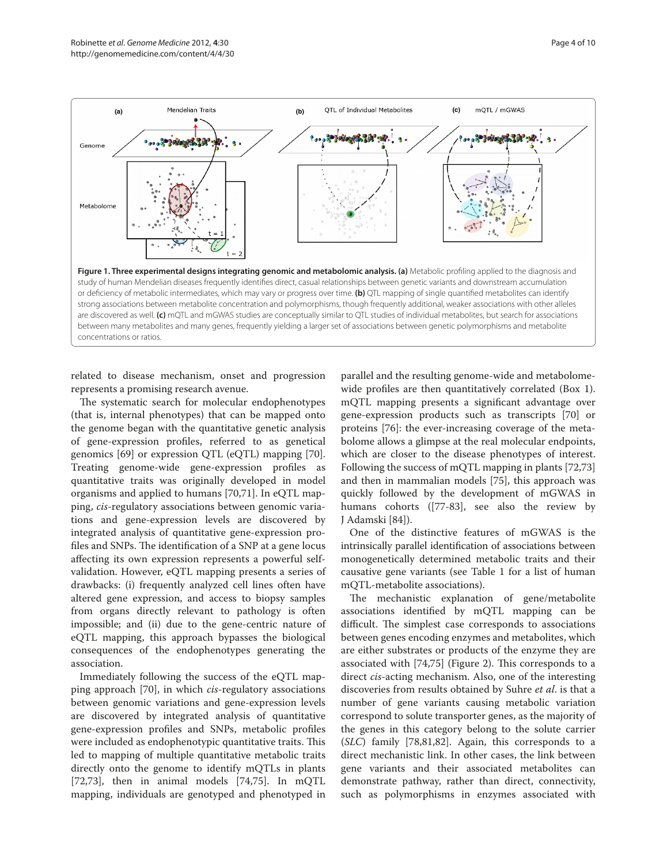

related to disease mechanism, onset and progression represents a promising research avenue.

The systematic search for molecular endophenotypes (that is, internal phenotypes) that can be mapped onto the genome began with the quantitative genetic analysis of gene-expression profiles, referred to as genetical genomics [69] or expression QTL (eQTL) mapping [70]. Treating genome-wide gene-expression profiles as quantitative traits was originally developed in model organisms and applied to humans [70,71]. In eQTL mapping, *cis-*regulatory associations between genomic variations and gene-expression levels are discovered by integrated analysis of quantitative gene-expression profiles and SNPs. The identification of a SNP at a gene locus affecting its own expression represents a powerful selfvalidation. However, eQTL mapping presents a series of drawbacks: (i) frequently analyzed cell lines often have altered gene expression, and access to biopsy samples from organs directly relevant to pathology is often impossible; and (ii) due to the gene-centric nature of eQTL mapping, this approach bypasses the biological consequences of the endophenotypes generating the association.

Immediately following the success of the eQTL mapping approach [70], in which *cis*-regulatory associations between genomic variations and gene-expression levels are discovered by integrated analysis of quantitative gene-expression profiles and SNPs, metabolic profiles were included as endophenotypic quantitative traits. This led to mapping of multiple quantitative metabolic traits directly onto the genome to identify mQTLs in plants  $[72,73]$ , then in animal models  $[74,75]$ . In mQTL mapping, individuals are genotyped and phenotyped in

parallel and the resulting genome-wide and metabolomewide profiles are then quantitatively correlated (Box 1). mQTL mapping presents a significant advantage over gene-expression products such as transcripts [70] or proteins [76]: the ever-increasing coverage of the metabolome allows a glimpse at the real molecular endpoints, which are closer to the disease phenotypes of interest. Following the success of mQTL mapping in plants [72,73] and then in mammalian models [75], this approach was quickly followed by the development of mGWAS in humans cohorts ([77-83], see also the review by J Adamski [84]).

One of the distinctive features of mGWAS is the intrinsically parallel identification of associations between monogenetically determined metabolic traits and their causative gene variants (see Table 1 for a list of human mQTL-metabolite associations).

The mechanistic explanation of gene/metabolite associations identified by mQTL mapping can be difficult. The simplest case corresponds to associations between genes encoding enzymes and metabolites, which are either substrates or products of the enzyme they are associated with [74,75] (Figure 2). This corresponds to a direct *cis-*acting mechanism. Also, one of the interesting discoveries from results obtained by Suhre *et al*. is that a number of gene variants causing metabolic variation correspond to solute transporter genes, as the majority of the genes in this category belong to the solute carrier (*SLC*) family [78,81,82]. Again, this corresponds to a direct mechanistic link. In other cases, the link between gene variants and their associated metabolites can demonstrate pathway, rather than direct, connectivity, such as polymorphisms in enzymes associated with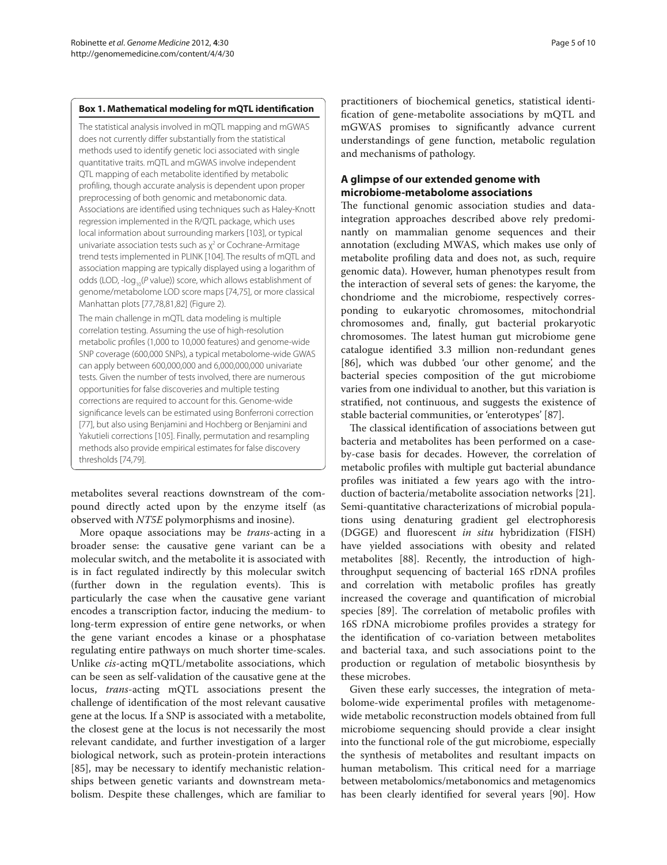#### **Box 1. Mathematical modeling for mQTL identification**

The statistical analysis involved in mQTL mapping and mGWAS does not currently differ substantially from the statistical methods used to identify genetic loci associated with single quantitative traits. mQTL and mGWAS involve independent QTL mapping of each metabolite identified by metabolic profiling, though accurate analysis is dependent upon proper preprocessing of both genomic and metabonomic data. Associations are identified using techniques such as Haley-Knott regression implemented in the R/QTL package, which uses local information about surrounding markers [103], or typical univariate association tests such as  $\chi^2$  or Cochrane-Armitage trend tests implemented in PLINK [104]. The results of mQTL and association mapping are typically displayed using a logarithm of odds (LOD, -log<sub>10</sub>(*P* value)) score, which allows establishment of genome/metabolome LOD score maps [74,75], or more classical Manhattan plots [77,78,81,82] (Figure 2).

The main challenge in mQTL data modeling is multiple correlation testing. Assuming the use of high-resolution metabolic profiles (1,000 to 10,000 features) and genome-wide SNP coverage (600,000 SNPs), a typical metabolome-wide GWAS can apply between 600,000,000 and 6,000,000,000 univariate tests. Given the number of tests involved, there are numerous opportunities for false discoveries and multiple testing corrections are required to account for this. Genome-wide significance levels can be estimated using Bonferroni correction [77], but also using Benjamini and Hochberg or Benjamini and Yakutieli corrections [105]. Finally, permutation and resampling methods also provide empirical estimates for false discovery thresholds [74,79].

metabolites several reactions downstream of the compound directly acted upon by the enzyme itself (as observed with *NT5E* polymorphisms and inosine).

More opaque associations may be *trans-*acting in a broader sense: the causative gene variant can be a molecular switch, and the metabolite it is associated with is in fact regulated indirectly by this molecular switch (further down in the regulation events). This is particularly the case when the causative gene variant encodes a transcription factor, inducing the medium- to long-term expression of entire gene networks, or when the gene variant encodes a kinase or a phosphatase regulating entire pathways on much shorter time-scales. Unlike *cis*-acting mQTL/metabolite associations, which can be seen as self-validation of the causative gene at the locus, *trans*-acting mQTL associations present the challenge of identification of the most relevant causative gene at the locus*.* If a SNP is associated with a metabolite, the closest gene at the locus is not necessarily the most relevant candidate, and further investigation of a larger biological network, such as protein-protein interactions [85], may be necessary to identify mechanistic relationships between genetic variants and downstream metabolism. Despite these challenges, which are familiar to

practitioners of biochemical genetics, statistical identification of gene-metabolite associations by mQTL and mGWAS promises to significantly advance current understandings of gene function, metabolic regulation and mechanisms of pathology.

## **A glimpse of our extended genome with microbiome-metabolome associations**

The functional genomic association studies and dataintegration approaches described above rely predominantly on mammalian genome sequences and their annotation (excluding MWAS, which makes use only of metabolite profiling data and does not, as such, require genomic data). However, human phenotypes result from the interaction of several sets of genes: the karyome, the chondriome and the microbiome, respectively corresponding to eukaryotic chromosomes, mitochondrial chromosomes and, finally, gut bacterial prokaryotic chromosomes. The latest human gut microbiome gene catalogue identified 3.3 million non-redundant genes [86], which was dubbed 'our other genome', and the bacterial species composition of the gut microbiome varies from one individual to another, but this variation is stratified, not continuous, and suggests the existence of stable bacterial communities, or 'enterotypes' [87].

The classical identification of associations between gut bacteria and metabolites has been performed on a caseby-case basis for decades. However, the correlation of metabolic profiles with multiple gut bacterial abundance profiles was initiated a few years ago with the introduction of bacteria/metabolite association networks [21]. Semi-quantitative characterizations of microbial populations using denaturing gradient gel electrophoresis (DGGE) and fluorescent *in situ* hybridization (FISH) have yielded associations with obesity and related metabolites [88]. Recently, the introduction of highthroughput sequencing of bacterial 16S rDNA profiles and correlation with metabolic profiles has greatly increased the coverage and quantification of microbial species [89]. The correlation of metabolic profiles with 16S rDNA microbiome profiles provides a strategy for the identification of co-variation between metabolites and bacterial taxa, and such associations point to the production or regulation of metabolic biosynthesis by these microbes.

Given these early successes, the integration of metabolome-wide experimental profiles with metagenomewide metabolic reconstruction models obtained from full microbiome sequencing should provide a clear insight into the functional role of the gut microbiome, especially the synthesis of metabolites and resultant impacts on human metabolism. This critical need for a marriage between metabolomics/metabonomics and metagenomics has been clearly identified for several years [90]. How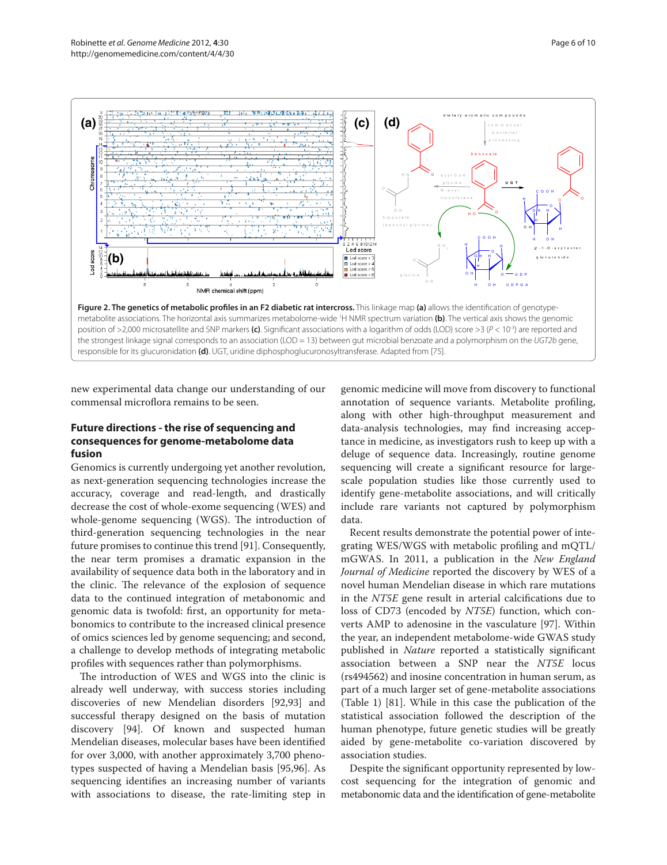

new experimental data change our understanding of our commensal microflora remains to be seen.

### **Future directions - the rise of sequencing and consequences for genome-metabolome data fusion**

Genomics is currently undergoing yet another revolution, as next-generation sequencing technologies increase the accuracy, coverage and read-length, and drastically decrease the cost of whole-exome sequencing (WES) and whole-genome sequencing (WGS). The introduction of third-generation sequencing technologies in the near future promises to continue this trend [91]. Consequently, the near term promises a dramatic expansion in the availability of sequence data both in the laboratory and in the clinic. The relevance of the explosion of sequence data to the continued integration of metabonomic and genomic data is twofold: first, an opportunity for metabonomics to contribute to the increased clinical presence of omics sciences led by genome sequencing; and second, a challenge to develop methods of integrating metabolic profiles with sequences rather than polymorphisms.

The introduction of WES and WGS into the clinic is already well underway, with success stories including discoveries of new Mendelian disorders [92,93] and successful therapy designed on the basis of mutation discovery [94]. Of known and suspected human Mendelian diseases, molecular bases have been identified for over 3,000, with another approximately 3,700 phenotypes suspected of having a Mendelian basis [95,96]. As sequencing identifies an increasing number of variants with associations to disease, the rate-limiting step in genomic medicine will move from discovery to functional annotation of sequence variants. Metabolite profiling, along with other high-throughput measurement and data-analysis technologies, may find increasing acceptance in medicine, as investigators rush to keep up with a deluge of sequence data. Increasingly, routine genome sequencing will create a significant resource for largescale population studies like those currently used to identify gene-metabolite associations, and will critically include rare variants not captured by polymorphism data.

Recent results demonstrate the potential power of integrating WES/WGS with metabolic profiling and mQTL/ mGWAS. In 2011, a publication in the *New England Journal of Medicine* reported the discovery by WES of a novel human Mendelian disease in which rare mutations in the *NT5E* gene result in arterial calcifications due to loss of CD73 (encoded by *NT5E*) function, which converts AMP to adenosine in the vasculature [97]. Within the year, an independent metabolome-wide GWAS study published in *Nature* reported a statistically significant association between a SNP near the *NT5E* locus (rs494562) and inosine concentration in human serum, as part of a much larger set of gene-metabolite associations (Table 1) [81]. While in this case the publication of the statistical association followed the description of the human phenotype, future genetic studies will be greatly aided by gene-metabolite co-variation discovered by association studies.

Despite the significant opportunity represented by lowcost sequencing for the integration of genomic and metabonomic data and the identification of gene-metabolite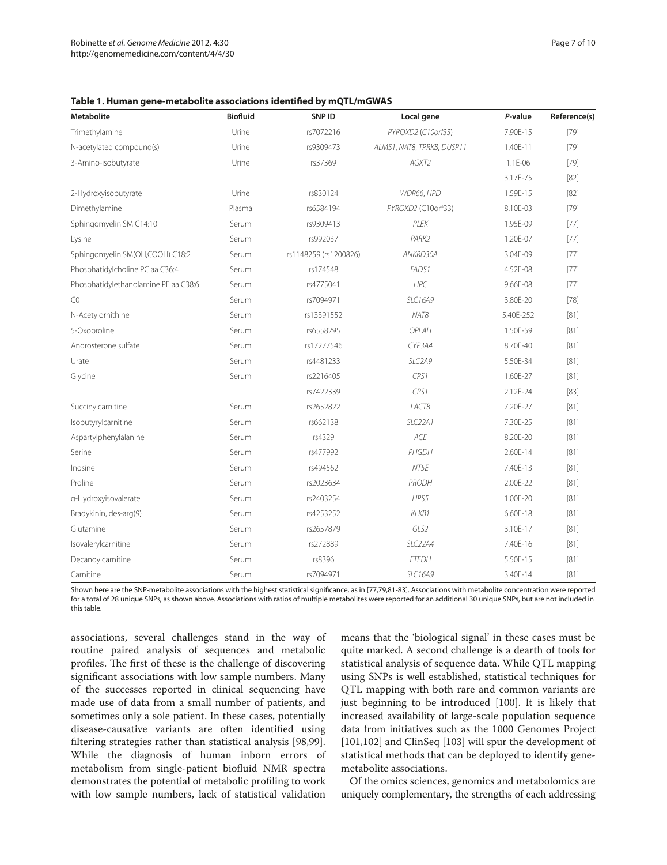**Table 1. Human gene-metabolite associations identified by mQTL/mGWAS**

| <b>Metabolite</b>                    | <b>Biofluid</b> | SNP ID                | Local gene                 | P-value   | Reference(s) |
|--------------------------------------|-----------------|-----------------------|----------------------------|-----------|--------------|
| Trimethylamine                       | Urine           | rs7072216             | PYROXD2 (C10orf33)         | 7.90E-15  | $[79]$       |
| N-acetylated compound(s)             | Urine           | rs9309473             | ALMS1, NAT8, TPRKB, DUSP11 | 1.40E-11  | $[79]$       |
| 3-Amino-isobutyrate                  | Urine           | rs37369               | AGXT2                      | 1.1E-06   | $[79]$       |
|                                      |                 |                       |                            | 3.17E-75  | $[82]$       |
| 2-Hydroxyisobutyrate                 | Urine           | rs830124              | WDR66, HPD                 | 1.59E-15  | $[82]$       |
| Dimethylamine                        | Plasma          | rs6584194             | PYROXD2 (C10orf33)         | 8.10E-03  | $[79]$       |
| Sphingomyelin SM C14:10              | Serum           | rs9309413             | PLEK                       | 1.95E-09  | $[77]$       |
| Lysine                               | Serum           | rs992037              | PARK2                      | 1.20E-07  | [77]         |
| Sphingomyelin SM(OH,COOH) C18:2      | Serum           | rs1148259 (rs1200826) | ANKRD30A                   | 3.04E-09  | [77]         |
| Phosphatidylcholine PC aa C36:4      | Serum           | rs174548              | FADS1                      | 4.52E-08  | $[77]$       |
| Phosphatidylethanolamine PE aa C38:6 | Serum           | rs4775041             | LIPC                       | 9.66E-08  | $[77]$       |
| CO                                   | Serum           | rs7094971             | <b>SLC16A9</b>             | 3.80E-20  | $[78]$       |
| N-Acetylornithine                    | Serum           | rs13391552            | NAT8                       | 5.40E-252 | [81]         |
| 5-Oxoproline                         | Serum           | rs6558295             | OPLAH                      | 1.50E-59  | $[81]$       |
| Androsterone sulfate                 | Serum           | rs17277546            | CYP3A4                     | 8.70E-40  | [81]         |
| Urate                                | Serum           | rs4481233             | SLC2A9                     | 5.50E-34  | [81]         |
| Glycine                              | Serum           | rs2216405             | CPS1                       | 1.60E-27  | $[81]$       |
|                                      |                 | rs7422339             | CPS1                       | 2.12E-24  | [83]         |
| Succinylcarnitine                    | Serum           | rs2652822             | LACTB                      | 7.20E-27  | [81]         |
| Isobutyrylcarnitine                  | Serum           | rs662138              | SLC <sub>22A1</sub>        | 7.30E-25  | [81]         |
| Aspartylphenylalanine                | Serum           | rs4329                | ACE                        | 8.20E-20  | $[81]$       |
| Serine                               | Serum           | rs477992              | PHGDH                      | 2.60E-14  | $[81]$       |
| Inosine                              | Serum           | rs494562              | NT5E                       | 7.40E-13  | [81]         |
| Proline                              | Serum           | rs2023634             | PRODH                      | 2.00E-22  | $[81]$       |
| a-Hydroxyisovalerate                 | Serum           | rs2403254             | HPS5                       | 1.00E-20  | [81]         |
| Bradykinin, des-arg(9)               | Serum           | rs4253252             | KLKB1                      | 6.60E-18  | [81]         |
| Glutamine                            | Serum           | rs2657879             | GLS2                       | 3.10E-17  | $[81]$       |
| Isovalerylcarnitine                  | Serum           | rs272889              | SLC22A4                    | 7.40E-16  | [81]         |
| Decanoylcarnitine                    | Serum           | rs8396                | <b>ETFDH</b>               | 5.50E-15  | $[81]$       |
| Carnitine                            | Serum           | rs7094971             | <b>SLC16A9</b>             | 3.40E-14  | [81]         |

Shown here are the SNP-metabolite associations with the highest statistical significance, as in [77,79,81-83]. Associations with metabolite concentration were reported for a total of 28 unique SNPs, as shown above. Associations with ratios of multiple metabolites were reported for an additional 30 unique SNPs, but are not included in this table.

associations, several challenges stand in the way of routine paired analysis of sequences and metabolic profiles. The first of these is the challenge of discovering significant associations with low sample numbers. Many of the successes reported in clinical sequencing have made use of data from a small number of patients, and sometimes only a sole patient. In these cases, potentially disease-causative variants are often identified using filtering strategies rather than statistical analysis [98,99]. While the diagnosis of human inborn errors of metabolism from single-patient biofluid NMR spectra demonstrates the potential of metabolic profiling to work with low sample numbers, lack of statistical validation means that the 'biological signal' in these cases must be quite marked. A second challenge is a dearth of tools for statistical analysis of sequence data. While QTL mapping using SNPs is well established, statistical techniques for QTL mapping with both rare and common variants are just beginning to be introduced [100]. It is likely that increased availability of large-scale population sequence data from initiatives such as the 1000 Genomes Project [101,102] and ClinSeq [103] will spur the development of statistical methods that can be deployed to identify genemetabolite associations.

Of the omics sciences, genomics and metabolomics are uniquely complementary, the strengths of each addressing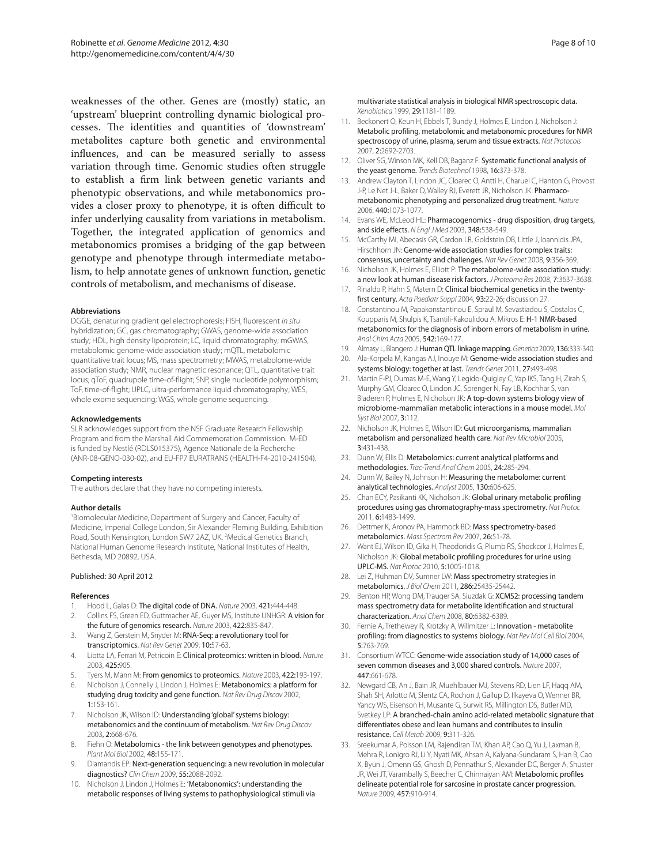weaknesses of the other. Genes are (mostly) static, an 'upstream' blueprint controlling dynamic biological processes. The identities and quantities of 'downstream' metabolites capture both genetic and environmental influences, and can be measured serially to assess variation through time. Genomic studies often struggle to establish a firm link between genetic variants and phenotypic observations, and while metabonomics provides a closer proxy to phenotype, it is often difficult to infer underlying causality from variations in metabolism. Together, the integrated application of genomics and metabonomics promises a bridging of the gap between genotype and phenotype through intermediate metabolism, to help annotate genes of unknown function, genetic controls of metabolism, and mechanisms of disease.

#### **Abbreviations**

DGGE, denaturing gradient gel electrophoresis; FISH, fluorescent *in situ* hybridization; GC, gas chromatography; GWAS, genome-wide association study; HDL, high density lipoprotein; LC, liquid chromatography; mGWAS, metabolomic genome-wide association study; mQTL, metabolomic quantitative trait locus; MS, mass spectrometry; MWAS, metabolome-wide association study; NMR, nuclear magnetic resonance; QTL, quantitative trait locus; qToF, quadrupole time-of-flight; SNP, single nucleotide polymorphism; ToF, time-of-flight; UPLC, ultra-performance liquid chromatography; WES, whole exome sequencing; WGS, whole genome sequencing.

#### **Acknowledgements**

SLR acknowledges support from the NSF Graduate Research Fellowship Program and from the Marshall Aid Commemoration Commission. M-ED is funded by Nestlé (RDLS015375), Agence Nationale de la Recherche (ANR-08-GENO-030-02), and EU-FP7 EURATRANS (HEALTH-F4-2010-241504).

#### **Competing interests**

The authors declare that they have no competing interests.

#### **Author details**

1 Biomolecular Medicine, Department of Surgery and Cancer, Faculty of Medicine, Imperial College London, Sir Alexander Fleming Building, Exhibition Road, South Kensington, London SW7 2AZ, UK. <sup>2</sup>Medical Genetics Branch, National Human Genome Research Institute, National Institutes of Health, Bethesda, MD 20892, USA.

#### Published: 30 April 2012

#### **References**

- 1. Hood L, Galas D: The digital code of DNA. *Nature* 2003, 421:444-448.
- 2. Collins FS, Green ED, Guttmacher AE, Guyer MS, Institute UNHGR: A vision for the future of genomics research. *Nature* 2003, 422:835-847.
- 3. Wang Z, Gerstein M, Snyder M: RNA-Seq: a revolutionary tool for transcriptomics. *Nat Rev Genet* 2009, 10:57-63.
- 4. Liotta LA, Ferrari M, Petricoin E: Clinical proteomics: written in blood. *Nature* 2003, 425:905.
- 5. Tyers M, Mann M: From genomics to proteomics. *Nature* 2003, 422:193-197.
- 6. Nicholson J, Connelly J, Lindon J, Holmes E: Metabonomics: a platform for studying drug toxicity and gene function. *Nat Rev Drug Discov* 2002, 1:153-161.
- 7. Nicholson JK, Wilson ID: Understanding 'global' systems biology: metabonomics and the continuum of metabolism. *Nat Rev Drug Discov* 2003, 2:668-676.
- 8. Fiehn O: Metabolomics the link between genotypes and phenotypes. *Plant Mol Biol* 2002, 48:155-171.
- Diamandis EP: Next-generation sequencing: a new revolution in molecular diagnostics? *Clin Chem* 2009, 55:2088-2092.
- 10. Nicholson J, Lindon J, Holmes E: 'Metabonomics': understanding the metabolic responses of living systems to pathophysiological stimuli via

multivariate statistical analysis in biological NMR spectroscopic data. *Xenobiotica* 1999, 29:1181-1189.

- 11. Beckonert O, Keun H, Ebbels T, Bundy J, Holmes E, Lindon J, Nicholson J: Metabolic profiling, metabolomic and metabonomic procedures for NMR spectroscopy of urine, plasma, serum and tissue extracts. *Nat Protocols* 2007, 2:2692-2703.
- 12. Oliver SG, Winson MK, Kell DB, Baganz F: Systematic functional analysis of the yeast genome. *Trends Biotechnol* 1998, 16:373-378.
- 13. Andrew Clayton T, Lindon JC, Cloarec O, Antti H, Charuel C, Hanton G, Provost J-P, Le Net J-L, Baker D, Walley RJ, Everett JR, Nicholson JK: Pharmacometabonomic phenotyping and personalized drug treatment. *Nature* 2006, 440:1073-1077.
- 14. Evans WE, McLeod HL: Pharmacogenomics drug disposition, drug targets, and side effects. *N Engl J Med* 2003, 348:538-549.
- 15. McCarthy MI, Abecasis GR, Cardon LR, Goldstein DB, Little J, Ioannidis JPA, Hirschhorn JN: Genome-wide association studies for complex traits: consensus, uncertainty and challenges. *Nat Rev Genet* 2008, 9:356-369.
- 16. Nicholson JK, Holmes E, Elliott P: The metabolome-wide association study: a new look at human disease risk factors. *J Proteome Res* 2008, 7:3637-3638.
- 17. Rinaldo P, Hahn S, Matern D: Clinical biochemical genetics in the twentyfirst century. *Acta Paediatr Suppl* 2004, 93:22-26; discussion 27.
- 18. Constantinou M, Papakonstantinou E, Spraul M, Sevastiadou S, Costalos C, Koupparis M, Shulpis K, Tsantili-Kakoulidou A, Mikros E: H-1 NMR-based metabonomics for the diagnosis of inborn errors of metabolism in urine. *Anal Chim Acta* 2005, 542:169-177.
- 19. Almasy L, Blangero J: Human QTL linkage mapping. *Genetica* 2009, 136:333-340.
- 20. Ala-Korpela M, Kangas AJ, Inouye M: Genome-wide association studies and systems biology: together at last. *Trends Genet* 2011, 27:493-498.
- 21. Martin F-PJ, Dumas M-E, Wang Y, Legido-Quigley C, Yap IKS, Tang H, Zirah S, Murphy GM, Cloarec O, Lindon JC, Sprenger N, Fay LB, Kochhar S, van Bladeren P, Holmes E, Nicholson JK: A top-down systems biology view of microbiome-mammalian metabolic interactions in a mouse model. *Mol Syst Biol* 2007, 3:112.
- 22. Nicholson JK, Holmes E, Wilson ID: Gut microorganisms, mammalian metabolism and personalized health care. *Nat Rev Microbiol* 2005, 3:431-438.
- 23. Dunn W, Ellis D: Metabolomics: current analytical platforms and methodologies. *Trac-Trend Anal Chem* 2005, 24:285-294.
- 24. Dunn W, Bailey N, Johnson H: Measuring the metabolome: current analytical technologies. *Analyst* 2005, 130:606-625.
- 25. Chan ECY, Pasikanti KK, Nicholson JK: Global urinary metabolic profiling procedures using gas chromatography-mass spectrometry. *Nat Protoc* 2011, 6:1483-1499.
- 26. Dettmer K, Aronov PA, Hammock BD: Mass spectrometry-based metabolomics. *Mass Spectrom Rev* 2007, 26:51-78.
- 27. Want EJ, Wilson ID, Gika H, Theodoridis G, Plumb RS, Shockcor J, Holmes E, Nicholson JK: Global metabolic profiling procedures for urine using UPLC‑MS. *Nat Protoc* 2010, 5:1005-1018.
- 28. Lei Z, Huhman DV, Sumner LW: Mass spectrometry strategies in metabolomics. *J Biol Chem* 2011, 286:25435-25442.
- 29. Benton HP, Wong DM, Trauger SA, Siuzdak G: XCMS2: processing tandem mass spectrometry data for metabolite identification and structural characterization. *Anal Chem* 2008, 80:6382-6389.
- 30. Fernie A, Trethewey R, Krotzky A, Willmitzer L: Innovation metabolite profiling: from diagnostics to systems biology. *Nat Rev Mol Cell Biol* 2004, 5:763-769.
- 31. Consortium WTCC: Genome-wide association study of 14,000 cases of seven common diseases and 3,000 shared controls. *Nature* 2007, 447:661-678.
- 32. Newgard CB, An J, Bain JR, Muehlbauer MJ, Stevens RD, Lien LF, Haqq AM, Shah SH, Arlotto M, Slentz CA, Rochon J, Gallup D, Ilkayeva O, Wenner BR, Yancy WS, Eisenson H, Musante G, Surwit RS, Millington DS, Butler MD, Svetkey LP: A branched-chain amino acid-related metabolic signature that differentiates obese and lean humans and contributes to insulin resistance. *Cell Metab* 2009, 9:311-326.
- 33. Sreekumar A, Poisson LM, Rajendiran TM, Khan AP, Cao Q, Yu J, Laxman B, Mehra R, Lonigro RJ, Li Y, Nyati MK, Ahsan A, Kalyana-Sundaram S, Han B, Cao X, Byun J, Omenn GS, Ghosh D, Pennathur S, Alexander DC, Berger A, Shuster JR, Wei JT, Varambally S, Beecher C, Chinnaiyan AM: Metabolomic profiles delineate potential role for sarcosine in prostate cancer progression. *Nature* 2009, 457:910-914.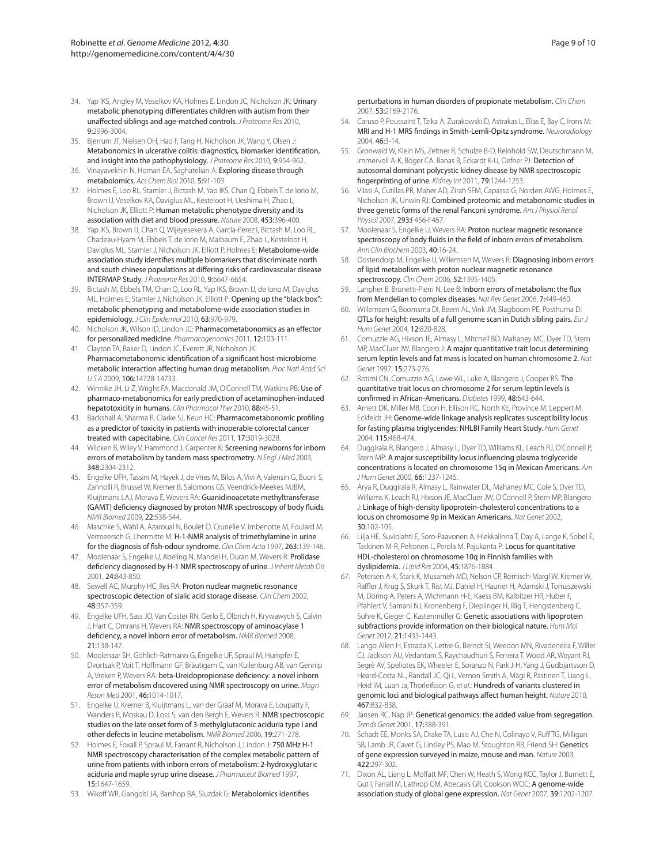- 34. Yap IKS, Angley M, Veselkov KA, Holmes E, Lindon JC, Nicholson JK: Urinary metabolic phenotyping differentiates children with autism from their unaffected siblings and age-matched controls. *J Proteome Res* 2010, 9:2996-3004.
- 35. Bjerrum JT, Nielsen OH, Hao F, Tang H, Nicholson JK, Wang Y, Olsen J: Metabonomics in ulcerative colitis: diagnostics, biomarker identification, and insight into the pathophysiology. *J Proteome Res* 2010, 9:954-962.
- 36. Vinayavekhin N, Homan EA, Saghatelian A: Exploring disease through metabolomics. *Acs Chem Biol* 2010, 5:91-103.
- 37. Holmes E, Loo RL, Stamler J, Bictash M, Yap IKS, Chan Q, Ebbels T, de Iorio M, Brown IJ, Veselkov KA, Daviglus ML, Kesteloot H, Ueshima H, Zhao L, Nicholson JK, Elliott P: Human metabolic phenotype diversity and its association with diet and blood pressure. *Nature* 2008, 453:396-400.
- 38. Yap IKS, Brown IJ, Chan Q, Wijeyesekera A, Garcia-Perez I, Bictash M, Loo RL, Chadeau-Hyam M, Ebbeis T, de Iorio M, Maibaum E, Zhao L, Kesteloot H, Daviglus ML, Stamler J, Nicholson JK, Elliott P, Holmes E: Metabolome-wide association study identifies multiple biomarkers that discriminate north and south chinese populations at differing risks of cardiovascular disease INTERMAP Study. *J Proteome Res* 2010, 9:6647-6654.
- 39. Bictash M, Ebbels TM, Chan Q, Loo RL, Yap IKS, Brown IJ, de Iorio M, Daviglus ML, Holmes E, Stamler J, Nicholson JK, Elliott P: Opening up the "black box": metabolic phenotyping and metabolome-wide association studies in epidemiology. *J Clin Epidemiol* 2010, 63:970-979.
- Nicholson JK, Wilson ID, Lindon JC: Pharmacometabonomics as an effector for personalized medicine. *Pharmacogenomics* 2011, 12:103-111.
- 41. Clayton TA, Baker D, Lindon JC, Everett JR, Nicholson JK: Pharmacometabonomic identification of a significant host-microbiome metabolic interaction affecting human drug metabolism. *Proc Natl Acad Sci U S A* 2009, 106:14728-14733.
- 42. Winnike JH, Li Z, Wright FA, Macdonald JM, O'Connell TM, Watkins PB: Use of pharmaco-metabonomics for early prediction of acetaminophen-induced hepatotoxicity in humans. *Clin Pharmacol Ther* 2010, 88:45-51.
- 43. Backshall A, Sharma R, Clarke SJ, Keun HC: Pharmacometabonomic profiling as a predictor of toxicity in patients with inoperable colorectal cancer treated with capecitabine. *Clin Cancer Res* 2011, 17:3019-3028.
- 44. Wilcken B, Wiley V, Hammond J, Carpenter K: Screening newborns for inborn errors of metabolism by tandem mass spectrometry. *N Engl J Med* 2003, 348:2304-2312.
- 45. Engelke UFH, Tassini M, Hayek J, de Vries M, Bilos A, Vivi A, Valensin G, Buoni S, Zannolli R, Brussel W, Kremer B, Salomons GS, Veendrick-Meekes MJBM, Kluijtmans LAJ, Morava E, Wevers RA: Guanidinoacetate methyltransferase (GAMT) deficiency diagnosed by proton NMR spectroscopy of body fluids. *NMR Biomed* 2009, 22:538-544.
- 46. Maschke S, Wahl A, Azaroual N, Boulet O, Crunelle V, Imbenotte M, Foulard M, Vermeersch G, Lhermitte M: H-1-NMR analysis of trimethylamine in urine for the diagnosis of fish-odour syndrome. *Clin Chim Acta* 1997, 263:139-146.
- 47. Moolenaar S, Engelke U, Abeling N, Mandel H, Duran M, Wevers R: Prolidase deficiency diagnosed by H-1 NMR spectroscopy of urine. *J Inherit Metab Dis* 2001, 24:843-850.
- 48. Sewell AC, Murphy HC, Iles RA: Proton nuclear magnetic resonance spectroscopic detection of sialic acid storage disease. *Clin Chem* 2002, 48:357-359.
- 49. Engelke UFH, Sass JO, Van Coster RN, Gerlo E, Olbrich H, Krywawych S, Calvin J, Hart C, Omrans H, Wevers RA: NMR spectroscopy of aminoacylase 1 deficiency, a novel inborn error of metabolism. *NMR Biomed* 2008, 21:138-147.
- 50. Moolenaar SH, Göhlich-Ratmann G, Engelke UF, Spraul M, Humpfer E, Dvortsak P, Voit T, Hoffmann GF, Bräutigam C, van Kuilenburg AB, van Gennip A, Vreken P, Wevers RA: beta-Ureidopropionase deficiency: a novel inborn error of metabolism discovered using NMR spectroscopy on urine. *Magn Reson Med* 2001, 46:1014-1017.
- 51. Engelke U, Kremer B, Kluijtmans L, van der Graaf M, Morava E, Loupatty F, Wanders R, Moskau D, Loss S, van den Bergh E, Wevers R: NMR spectroscopic studies on the late onset form of 3-methylglutaconic aciduria type I and other defects in leucine metabolism. *NMR Biomed* 2006, 19:271-278.
- 52. Holmes E, Foxall P, Spraul M, Farrant R, Nicholson J, Lindon J: 750 MHz H-1 NMR spectroscopy characterisation of the complex metabolic pattern of urine from patients with inborn errors of metabolism: 2-hydroxyglutaric aciduria and maple syrup urine disease. *J Pharmaceut Biomed* 1997, 15:1647-1659.
- 53. Wikoff WR, Gangoiti JA, Barshop BA, Siuzdak G: Metabolomics identifies

perturbations in human disorders of propionate metabolism. *Clin Chem* 2007, 53:2169-2176.

- 54. Caruso P, Poussaint T, Tzika A, Zurakowski D, Astrakas L, Elias E, Bay C, Irons M: MRI and H-1 MRS findings in Smith-Lemli-Opitz syndrome. *Neuroradiology* 2004, 46:3-14.
- 55. Gronwald W, Klein MS, Zeltner R, Schulze B-D, Reinhold SW, Deutschmann M, Immervoll A-K, Böger CA, Banas B, Eckardt K-U, Oefner PJ: Detection of autosomal dominant polycystic kidney disease by NMR spectroscopic fingerprinting of urine. *Kidney Int* 2011, 79:1244-1253.
- 56. Vilasi A, Cutillas PR, Maher AD, Zirah SFM, Capasso G, Norden AWG, Holmes E, Nicholson JK, Unwin RJ: Combined proteomic and metabonomic studies in three genetic forms of the renal Fanconi syndrome. *Am J Physiol Renal Physiol* 2007, 293:F456-F467.
- 57. Moolenaar S, Engelke U, Wevers RA: Proton nuclear magnetic resonance spectroscopy of body fluids in the field of inborn errors of metabolism. *Ann Clin Biochem* 2003, 40:16-24.
- 58. Oostendorp M, Engelke U, Willemsen M, Wevers R: Diagnosing inborn errors of lipid metabolism with proton nuclear magnetic resonance spectroscopy. *Clin Chem* 2006, 52:1395-1405.
- 59. Lanpher B, Brunetti-Pierri N, Lee B: Inborn errors of metabolism: the flux from Mendelian to complex diseases. *Nat Rev Genet* 2006, 7:449-460.
- 60. Willemsen G, Boomsma DI, Beem AL, Vink JM, Slagboom PE, Posthuma D: QTLs for height: results of a full genome scan in Dutch sibling pairs. *Eur J Hum Genet* 2004, 12:820-828.
- 61. Comuzzie AG, Hixson JE, Almasy L, Mitchell BD, Mahaney MC, Dyer TD, Stern MP, MacCluer JW, Blangero J: A major quantitative trait locus determining serum leptin levels and fat mass is located on human chromosome 2. *Nat Genet* 1997, 15:273-276.
- 62. Rotimi CN, Comuzzie AG, Lowe WL, Luke A, Blangero J, Cooper RS: The quantitative trait locus on chromosome 2 for serum leptin levels is confirmed in African-Americans. *Diabetes* 1999, 48:643-644.
- 63. Arnett DK, Miller MB, Coon H, Ellison RC, North KE, Province M, Leppert M, Eckfeldt JH: Genome-wide linkage analysis replicates susceptibility locus for fasting plasma triglycerides: NHLBI Family Heart Study. *Hum Genet* 2004, 115:468-474.
- 64. Duggirala R, Blangero J, Almasy L, Dyer TD, Williams KL, Leach RJ, O'Connell P, Stern MP: A major susceptibility locus influencing plasma triglyceride concentrations is located on chromosome 15q in Mexican Americans. *Am J Hum Genet* 2000, 66:1237-1245.
- 65. Arya R, Duggirala R, Almasy L, Rainwater DL, Mahaney MC, Cole S, Dyer TD, Williams K, Leach RJ, Hixson JE, MacCluer JW, O'Connell P, Stern MP, Blangero J: Linkage of high-density lipoprotein-cholesterol concentrations to a locus on chromosome 9p in Mexican Americans. *Nat Genet* 2002, 30:102-105.
- 66. Lilja HE, Suviolahti E, Soro-Paavonen A, Hiekkalinna T, Day A, Lange K, Sobel E, Taskinen M-R, Peltonen L, Perola M, Pajukanta P: Locus for quantitative HDL‑cholesterol on chromosome 10q in Finnish families with dyslipidemia. *J Lipid Res* 2004, 45:1876-1884.
- 67. Petersen A-K, Stark K, Musameh MD, Nelson CP, Römisch-Margl W, Kremer W, Raffler J, Krug S, Skurk T, Rist MJ, Daniel H, Hauner H, Adamski J, Tomaszewski M, Döring A, Peters A, Wichmann H-E, Kaess BM, Kalbitzer HR, Huber F, Pfahlert V, Samani NJ, Kronenberg F, Dieplinger H, Illig T, Hengstenberg C, Suhre K, Gieger C, Kastenmüller G: Genetic associations with lipoprotein subfractions provide information on their biological nature. *Hum Mol Genet* 2012, 21:1433-1443.
- 68. Lango Allen H, Estrada K, Lettre G, Berndt SI, Weedon MN, Rivadeneira F, Willer CJ, Jackson AU, Vedantam S, Raychaudhuri S, Ferreira T, Wood AR, Weyant RJ, Segrè AV, Speliotes EK, Wheeler E, Soranzo N, Park J-H, Yang J, Gudbjartsson D, Heard-Costa NL, Randall JC, Qi L, Vernon Smith A, Mägi R, Pastinen T, Liang L, Heid IM, Luan Ja, Thorleifsson G, *et al*.: Hundreds of variants clustered in genomic loci and biological pathways affect human height. *Nature* 2010, 467:832-838.
- 69. Jansen RC, Nap JP: Genetical genomics: the added value from segregation. *Trends Genet* 2001, 17:388-391.
- 70. Schadt EE, Monks SA, Drake TA, Lusis AJ, Che N, Colinayo V, Ruff TG, Milligan SB, Lamb JR, Cavet G, Linsley PS, Mao M, Stoughton RB, Friend SH: Genetics of gene expression surveyed in maize, mouse and man. *Nature* 2003, 422:297-302.
- 71. Dixon AL, Liang L, Moffatt MF, Chen W, Heath S, Wong KCC, Taylor J, Burnett E, Gut I, Farrall M, Lathrop GM, Abecasis GR, Cookson WOC: A genome-wide association study of global gene expression. *Nat Genet* 2007, 39:1202-1207.